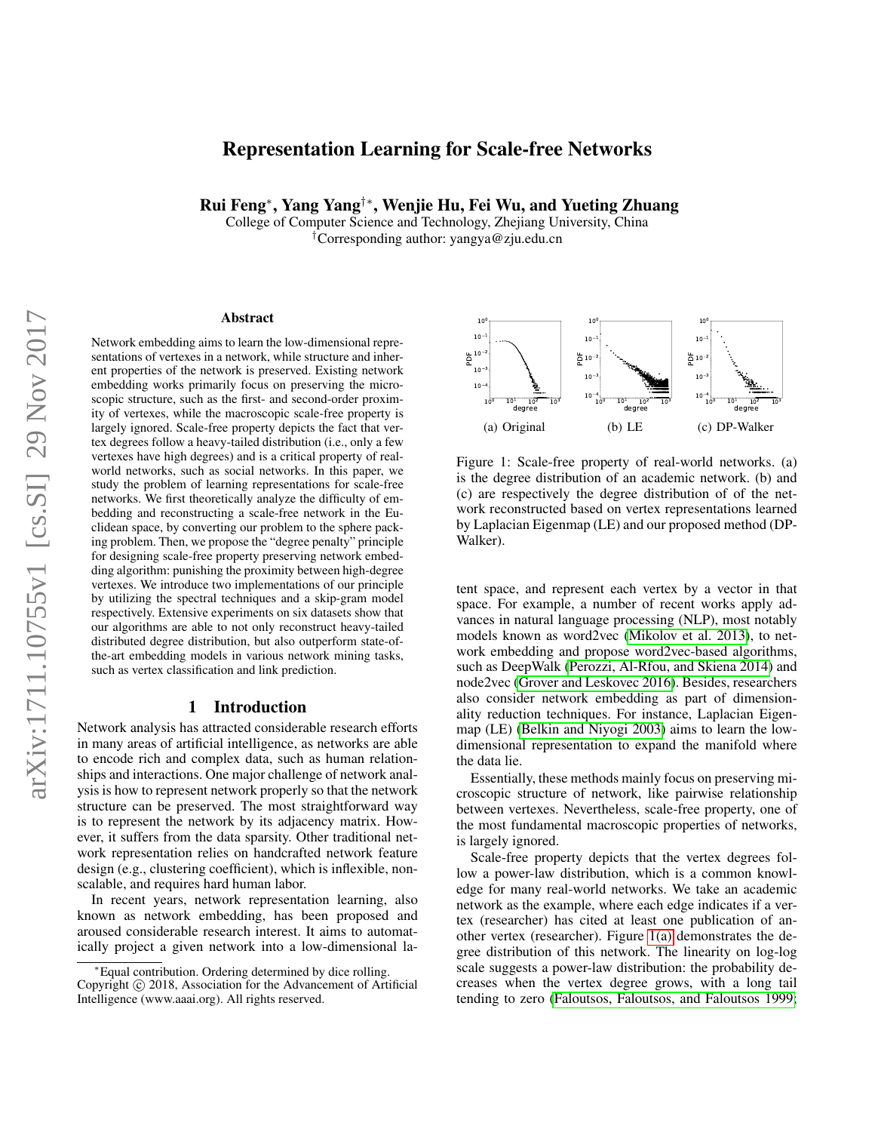# Representation Learning for Scale-free Networks

Rui Feng<sup>∗</sup> , Yang Yang†∗, Wenjie Hu, Fei Wu, and Yueting Zhuang

College of Computer Science and Technology, Zhejiang University, China †Corresponding author: yangya@zju.edu.cn

#### Abstract

Network embedding aims to learn the low-dimensional representations of vertexes in a network, while structure and inherent properties of the network is preserved. Existing network embedding works primarily focus on preserving the microscopic structure, such as the first- and second-order proximity of vertexes, while the macroscopic scale-free property is largely ignored. Scale-free property depicts the fact that vertex degrees follow a heavy-tailed distribution (i.e., only a few vertexes have high degrees) and is a critical property of realworld networks, such as social networks. In this paper, we study the problem of learning representations for scale-free networks. We first theoretically analyze the difficulty of embedding and reconstructing a scale-free network in the Euclidean space, by converting our problem to the sphere packing problem. Then, we propose the "degree penalty" principle for designing scale-free property preserving network embedding algorithm: punishing the proximity between high-degree vertexes. We introduce two implementations of our principle by utilizing the spectral techniques and a skip-gram model respectively. Extensive experiments on six datasets show that our algorithms are able to not only reconstruct heavy-tailed distributed degree distribution, but also outperform state-ofthe-art embedding models in various network mining tasks, such as vertex classification and link prediction.

# 1 Introduction

Network analysis has attracted considerable research efforts in many areas of artificial intelligence, as networks are able to encode rich and complex data, such as human relationships and interactions. One major challenge of network analysis is how to represent network properly so that the network structure can be preserved. The most straightforward way is to represent the network by its adjacency matrix. However, it suffers from the data sparsity. Other traditional network representation relies on handcrafted network feature design (e.g., clustering coefficient), which is inflexible, nonscalable, and requires hard human labor.

In recent years, network representation learning, also known as network embedding, has been proposed and aroused considerable research interest. It aims to automatically project a given network into a low-dimensional la-

<span id="page-0-0"></span>

<span id="page-0-2"></span><span id="page-0-1"></span>Figure 1: Scale-free property of real-world networks. (a) is the degree distribution of an academic network. (b) and (c) are respectively the degree distribution of of the network reconstructed based on vertex representations learned by Laplacian Eigenmap (LE) and our proposed method (DP-Walker).

tent space, and represent each vertex by a vector in that space. For example, a number of recent works apply advances in natural language processing (NLP), most notably models known as word2vec [\(Mikolov et al. 2013\)](#page-7-0), to network embedding and propose word2vec-based algorithms, such as DeepWalk [\(Perozzi, Al-Rfou, and Skiena 2014\)](#page-7-1) and node2vec [\(Grover and Leskovec 2016\)](#page-7-2). Besides, researchers also consider network embedding as part of dimensionality reduction techniques. For instance, Laplacian Eigenmap (LE) [\(Belkin and Niyogi 2003\)](#page-7-3) aims to learn the lowdimensional representation to expand the manifold where the data lie.

Essentially, these methods mainly focus on preserving microscopic structure of network, like pairwise relationship between vertexes. Nevertheless, scale-free property, one of the most fundamental macroscopic properties of networks, is largely ignored.

Scale-free property depicts that the vertex degrees follow a power-law distribution, which is a common knowledge for many real-world networks. We take an academic network as the example, where each edge indicates if a vertex (researcher) has cited at least one publication of another vertex (researcher). Figure [1\(a\)](#page-0-0) demonstrates the degree distribution of this network. The linearity on log-log scale suggests a power-law distribution: the probability decreases when the vertex degree grows, with a long tail tending to zero [\(Faloutsos, Faloutsos, and Faloutsos 1999;](#page-7-4)

<sup>∗</sup>Equal contribution. Ordering determined by dice rolling. Copyright © 2018, Association for the Advancement of Artificial Intelligence (www.aaai.org). All rights reserved.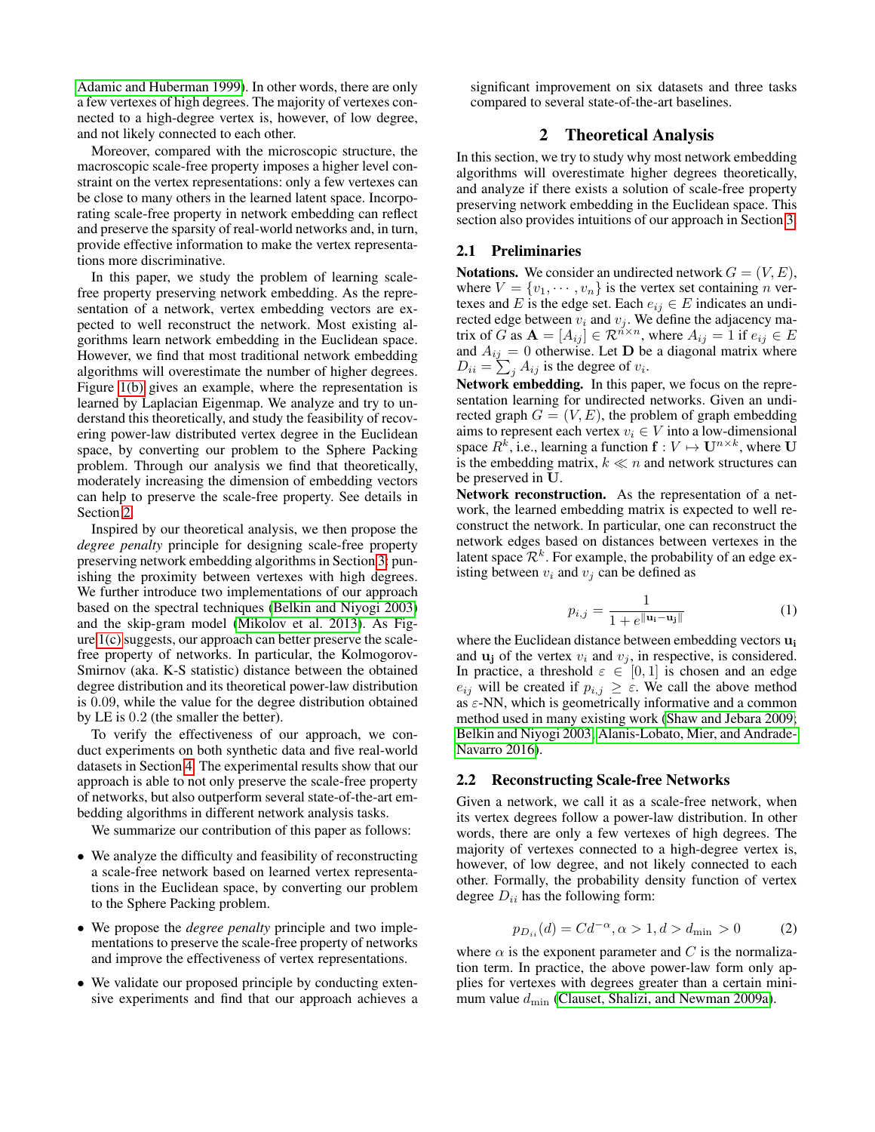[Adamic and Huberman 1999\)](#page-7-5). In other words, there are only a few vertexes of high degrees. The majority of vertexes connected to a high-degree vertex is, however, of low degree, and not likely connected to each other.

Moreover, compared with the microscopic structure, the macroscopic scale-free property imposes a higher level constraint on the vertex representations: only a few vertexes can be close to many others in the learned latent space. Incorporating scale-free property in network embedding can reflect and preserve the sparsity of real-world networks and, in turn, provide effective information to make the vertex representations more discriminative.

In this paper, we study the problem of learning scalefree property preserving network embedding. As the representation of a network, vertex embedding vectors are expected to well reconstruct the network. Most existing algorithms learn network embedding in the Euclidean space. However, we find that most traditional network embedding algorithms will overestimate the number of higher degrees. Figure [1\(b\)](#page-0-1) gives an example, where the representation is learned by Laplacian Eigenmap. We analyze and try to understand this theoretically, and study the feasibility of recovering power-law distributed vertex degree in the Euclidean space, by converting our problem to the Sphere Packing problem. Through our analysis we find that theoretically, moderately increasing the dimension of embedding vectors can help to preserve the scale-free property. See details in Section [2.](#page-1-0)

Inspired by our theoretical analysis, we then propose the *degree penalty* principle for designing scale-free property preserving network embedding algorithms in Section [3:](#page-3-0) punishing the proximity between vertexes with high degrees. We further introduce two implementations of our approach based on the spectral techniques [\(Belkin and Niyogi 2003\)](#page-7-3) and the skip-gram model [\(Mikolov et al. 2013\)](#page-7-0). As Figure [1\(c\)](#page-0-2) suggests, our approach can better preserve the scalefree property of networks. In particular, the Kolmogorov-Smirnov (aka. K-S statistic) distance between the obtained degree distribution and its theoretical power-law distribution is 0.09, while the value for the degree distribution obtained by LE is 0.2 (the smaller the better).

To verify the effectiveness of our approach, we conduct experiments on both synthetic data and five real-world datasets in Section [4.](#page-4-0) The experimental results show that our approach is able to not only preserve the scale-free property of networks, but also outperform several state-of-the-art embedding algorithms in different network analysis tasks.

We summarize our contribution of this paper as follows:

- We analyze the difficulty and feasibility of reconstructing a scale-free network based on learned vertex representations in the Euclidean space, by converting our problem to the Sphere Packing problem.
- We propose the *degree penalty* principle and two implementations to preserve the scale-free property of networks and improve the effectiveness of vertex representations.
- We validate our proposed principle by conducting extensive experiments and find that our approach achieves a

significant improvement on six datasets and three tasks compared to several state-of-the-art baselines.

# 2 Theoretical Analysis

<span id="page-1-0"></span>In this section, we try to study why most network embedding algorithms will overestimate higher degrees theoretically, and analyze if there exists a solution of scale-free property preserving network embedding in the Euclidean space. This section also provides intuitions of our approach in Section [3.](#page-3-0)

# 2.1 Preliminaries

**Notations.** We consider an undirected network  $G = (V, E)$ , where  $V = \{v_1, \dots, v_n\}$  is the vertex set containing *n* vertexes and E is the edge set. Each  $e_{ij} \in E$  indicates an undirected edge between  $v_i$  and  $v_j$ . We define the adjacency matrix of G as  $A = [A_{ij}] \in \mathbb{R}^{n \times n}$ , where  $A_{ij} = 1$  if  $e_{ij} \in E$ and  $A_{ij} = 0$  otherwise. Let **D** be a diagonal matrix where  $D_{ii} = \sum_j A_{ij}$  is the degree of  $v_i$ .

Network embedding. In this paper, we focus on the representation learning for undirected networks. Given an undirected graph  $G = (V, E)$ , the problem of graph embedding aims to represent each vertex  $v_i \in V$  into a low-dimensional space  $R^k$ , i.e., learning a function  $f: V \mapsto U^{n \times k}$ , where U is the embedding matrix,  $k \ll n$  and network structures can be preserved in U.

Network reconstruction. As the representation of a network, the learned embedding matrix is expected to well reconstruct the network. In particular, one can reconstruct the network edges based on distances between vertexes in the latent space  $\mathcal{R}^k$ . For example, the probability of an edge existing between  $v_i$  and  $v_j$  can be defined as

$$
p_{i,j} = \frac{1}{1 + e^{\|\mathbf{u}_i - \mathbf{u}_j\|}}\tag{1}
$$

where the Euclidean distance between embedding vectors  $\mathbf{u}_i$ and  $\mathbf{u}_i$  of the vertex  $v_i$  and  $v_j$ , in respective, is considered. In practice, a threshold  $\varepsilon \in [0,1]$  is chosen and an edge  $e_{ij}$  will be created if  $p_{i,j} \geq \varepsilon$ . We call the above method as  $\varepsilon$ -NN, which is geometrically informative and a common method used in many existing work [\(Shaw and Jebara 2009;](#page-7-6) [Belkin and Niyogi 2003;](#page-7-3) [Alanis-Lobato, Mier, and Andrade-](#page-7-7)[Navarro 2016\)](#page-7-7).

#### 2.2 Reconstructing Scale-free Networks

Given a network, we call it as a scale-free network, when its vertex degrees follow a power-law distribution. In other words, there are only a few vertexes of high degrees. The majority of vertexes connected to a high-degree vertex is, however, of low degree, and not likely connected to each other. Formally, the probability density function of vertex degree  $D_{ii}$  has the following form:

$$
p_{D_{ii}}(d) = C d^{-\alpha}, \alpha > 1, d > d_{\min} > 0
$$
 (2)

where  $\alpha$  is the exponent parameter and C is the normalization term. In practice, the above power-law form only applies for vertexes with degrees greater than a certain minimum value  $d_{\text{min}}$  [\(Clauset, Shalizi, and Newman 2009a\)](#page-7-8).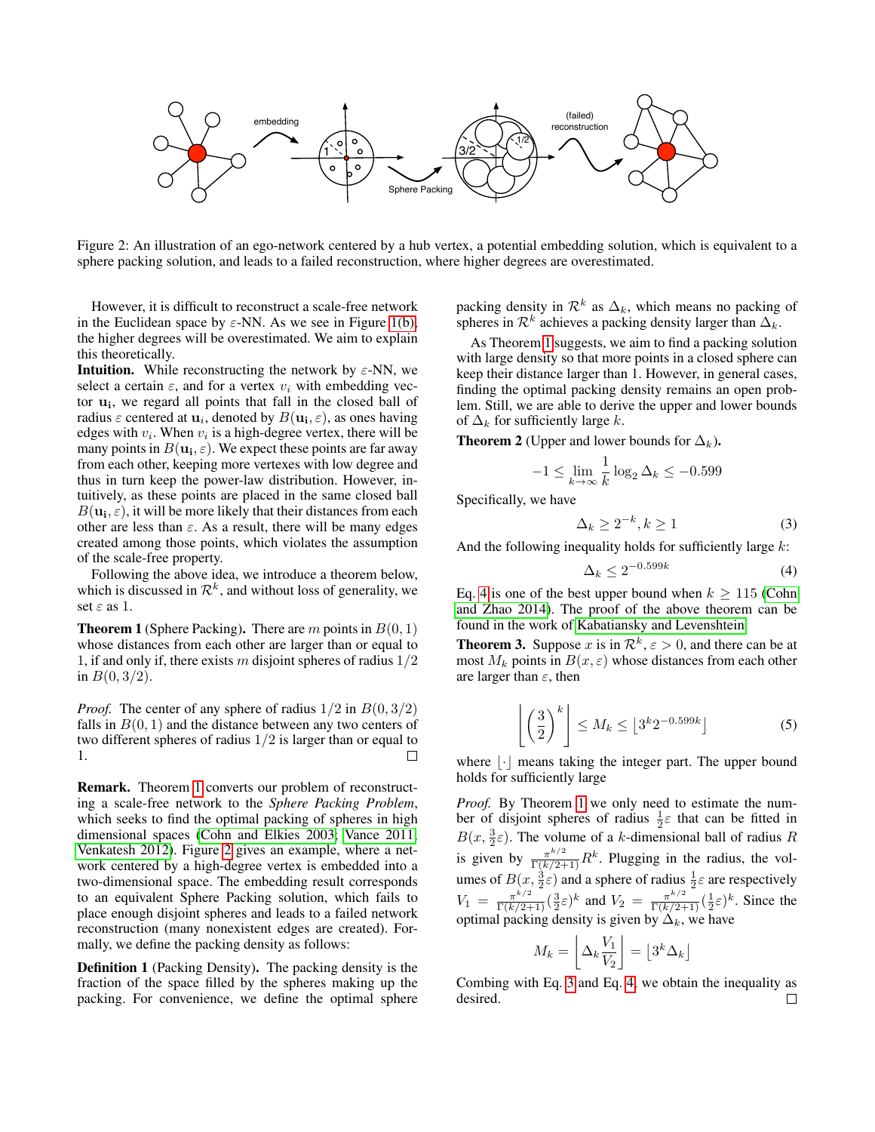

Figure 2: An illustration of an ego-network centered by a hub vertex, a potential embedding solution, which is equivalent to a sphere packing solution, and leads to a failed reconstruction, where higher degrees are overestimated.

However, it is difficult to reconstruct a scale-free network in the Euclidean space by  $\varepsilon$ -NN. As we see in Figure [1\(b\),](#page-0-1) the higher degrees will be overestimated. We aim to explain this theoretically.

**Intuition.** While reconstructing the network by  $\varepsilon$ -NN, we select a certain  $\varepsilon$ , and for a vertex  $v_i$  with embedding vector  $\mathbf{u_i}$ , we regard all points that fall in the closed ball of radius  $\varepsilon$  centered at  $\mathbf{u}_i$ , denoted by  $B(\mathbf{u_i}, \varepsilon)$ , as ones having edges with  $v_i$ . When  $v_i$  is a high-degree vertex, there will be many points in  $B(\mathbf{u_i}, \varepsilon)$ . We expect these points are far away from each other, keeping more vertexes with low degree and thus in turn keep the power-law distribution. However, intuitively, as these points are placed in the same closed ball  $B(\mathbf{u_i}, \varepsilon)$ , it will be more likely that their distances from each other are less than  $\varepsilon$ . As a result, there will be many edges created among those points, which violates the assumption of the scale-free property.

Following the above idea, we introduce a theorem below, which is discussed in  $\mathcal{R}^k$ , and without loss of generality, we set  $\varepsilon$  as 1.

<span id="page-2-0"></span>**Theorem 1** (Sphere Packing). There are m points in  $B(0, 1)$ whose distances from each other are larger than or equal to 1, if and only if, there exists m disjoint spheres of radius  $1/2$ in  $B(0, 3/2)$ .

*Proof.* The center of any sphere of radius  $1/2$  in  $B(0, 3/2)$ falls in  $B(0, 1)$  and the distance between any two centers of two different spheres of radius 1/2 is larger than or equal to 1. Ш

Remark. Theorem [1](#page-2-0) converts our problem of reconstructing a scale-free network to the *Sphere Packing Problem*, which seeks to find the optimal packing of spheres in high dimensional spaces [\(Cohn and Elkies 2003;](#page-7-9) [Vance 2011;](#page-7-10) [Venkatesh 2012\)](#page-8-0). Figure [2](#page-2-1) gives an example, where a network centered by a high-degree vertex is embedded into a two-dimensional space. The embedding result corresponds to an equivalent Sphere Packing solution, which fails to place enough disjoint spheres and leads to a failed network reconstruction (many nonexistent edges are created). Formally, we define the packing density as follows:

Definition 1 (Packing Density). The packing density is the fraction of the space filled by the spheres making up the packing. For convenience, we define the optimal sphere <span id="page-2-1"></span>packing density in  $\mathcal{R}^k$  as  $\Delta_k$ , which means no packing of spheres in  $\mathcal{R}^k$  achieves a packing density larger than  $\Delta_k$ .

As Theorem [1](#page-2-0) suggests, we aim to find a packing solution with large density so that more points in a closed sphere can keep their distance larger than 1. However, in general cases, finding the optimal packing density remains an open problem. Still, we are able to derive the upper and lower bounds of  $\Delta_k$  for sufficiently large k.

**Theorem 2** (Upper and lower bounds for  $\Delta_k$ ).

$$
-1 \le \lim_{k \to \infty} \frac{1}{k} \log_2 \Delta_k \le -0.599
$$

Specifically, we have

<span id="page-2-3"></span>
$$
\Delta_k \ge 2^{-k}, k \ge 1 \tag{3}
$$

And the following inequality holds for sufficiently large  $k$ :

<span id="page-2-2"></span>
$$
\Delta_k \le 2^{-0.599k} \tag{4}
$$

Eq. [4](#page-2-2) is one of the best upper bound when  $k \ge 115$  [\(Cohn](#page-7-11) [and Zhao 2014\)](#page-7-11). The proof of the above theorem can be found in the work of [Kabatiansky and Levenshtein.](#page-7-12)

**Theorem 3.** Suppose x is in  $\mathcal{R}^k$ ,  $\varepsilon > 0$ , and there can be at most  $M_k$  points in  $B(x, \varepsilon)$  whose distances from each other are larger than  $\varepsilon$ , then

<span id="page-2-4"></span>
$$
\left\lfloor \left(\frac{3}{2}\right)^k \right\rfloor \le M_k \le \left\lfloor 3^k 2^{-0.599k} \right\rfloor \tag{5}
$$

where  $|\cdot|$  means taking the integer part. The upper bound holds for sufficiently large

*Proof.* By Theorem [1](#page-2-0) we only need to estimate the number of disjoint spheres of radius  $\frac{1}{2} \varepsilon$  that can be fitted in B(x,  $\frac{3}{2}\varepsilon$ ). The volume of a k-dimensional ball of radius R is given by  $\frac{\pi^{k/2}}{\Gamma(k/2+1)} R^k$ . Plugging in the radius, the volumes of  $B(x, \frac{3}{2}\varepsilon)$  and a sphere of radius  $\frac{1}{2}\varepsilon$  are respectively  $V_1 = \frac{\pi^{k/2}}{\Gamma(k/2+1)} \left(\frac{3}{2}\varepsilon\right)^k$  and  $V_2 = \frac{\pi^{k/2}}{\Gamma(k/2+1)} \left(\frac{1}{2}\varepsilon\right)^k$ . Since the optimal packing density is given by  $\Delta_k$ , we have

$$
M_k = \left\lfloor \Delta_k \frac{V_1}{V_2} \right\rfloor = \left\lfloor 3^k \Delta_k \right\rfloor
$$

Combing with Eq. [3](#page-2-3) and Eq. [4,](#page-2-2) we obtain the inequality as desired. $\Box$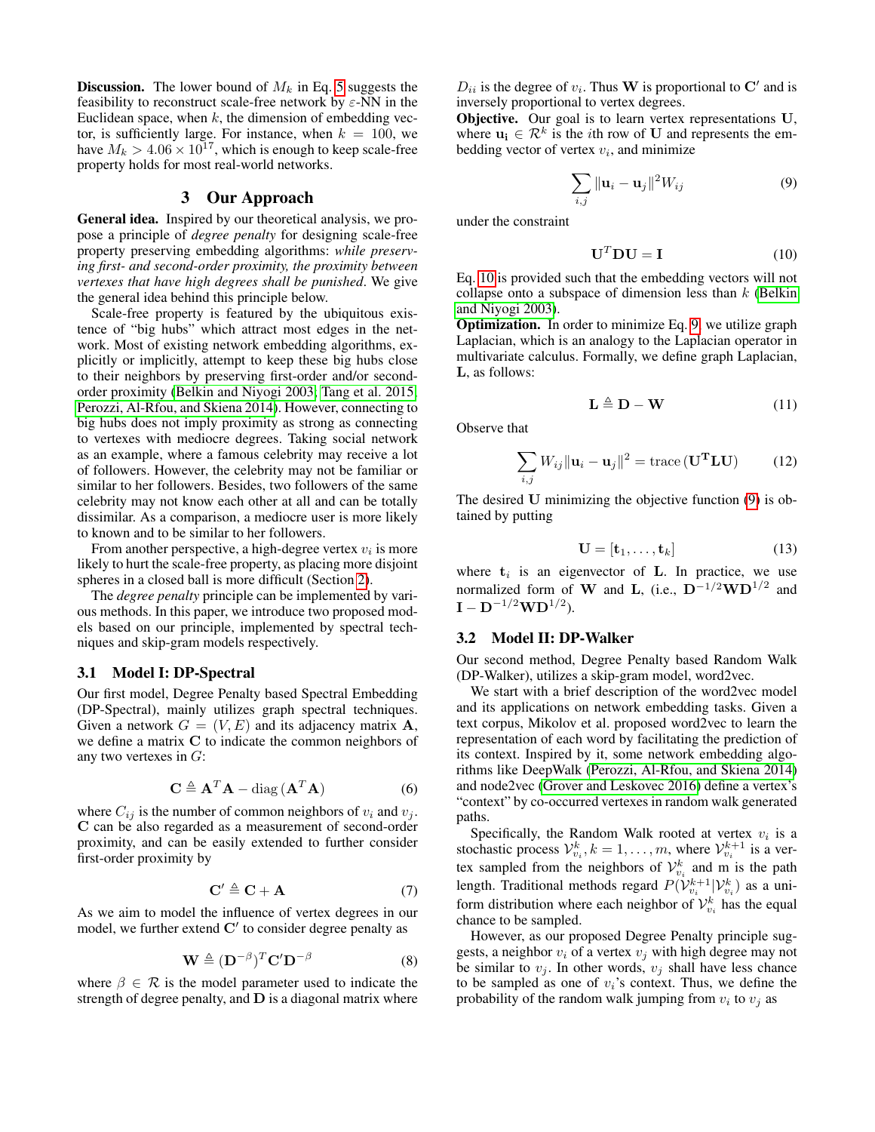**Discussion.** The lower bound of  $M_k$  in Eq. [5](#page-2-4) suggests the feasibility to reconstruct scale-free network by  $\varepsilon$ -NN in the Euclidean space, when  $k$ , the dimension of embedding vector, is sufficiently large. For instance, when  $k = 100$ , we have  $M_k > 4.06 \times 10^{17}$ , which is enough to keep scale-free property holds for most real-world networks.

#### 3 Our Approach

<span id="page-3-0"></span>General idea. Inspired by our theoretical analysis, we propose a principle of *degree penalty* for designing scale-free property preserving embedding algorithms: *while preserving first- and second-order proximity, the proximity between vertexes that have high degrees shall be punished*. We give the general idea behind this principle below.

Scale-free property is featured by the ubiquitous existence of "big hubs" which attract most edges in the network. Most of existing network embedding algorithms, explicitly or implicitly, attempt to keep these big hubs close to their neighbors by preserving first-order and/or secondorder proximity [\(Belkin and Niyogi 2003;](#page-7-3) [Tang et al. 2015;](#page-7-13) [Perozzi, Al-Rfou, and Skiena 2014\)](#page-7-1). However, connecting to big hubs does not imply proximity as strong as connecting to vertexes with mediocre degrees. Taking social network as an example, where a famous celebrity may receive a lot of followers. However, the celebrity may not be familiar or similar to her followers. Besides, two followers of the same celebrity may not know each other at all and can be totally dissimilar. As a comparison, a mediocre user is more likely to known and to be similar to her followers.

From another perspective, a high-degree vertex  $v_i$  is more likely to hurt the scale-free property, as placing more disjoint spheres in a closed ball is more difficult (Section [2\)](#page-1-0).

The *degree penalty* principle can be implemented by various methods. In this paper, we introduce two proposed models based on our principle, implemented by spectral techniques and skip-gram models respectively.

#### 3.1 Model I: DP-Spectral

Our first model, Degree Penalty based Spectral Embedding (DP-Spectral), mainly utilizes graph spectral techniques. Given a network  $G = (V, E)$  and its adjacency matrix **A**, we define a matrix C to indicate the common neighbors of any two vertexes in  $G$ :

$$
\mathbf{C} \triangleq \mathbf{A}^T \mathbf{A} - \text{diag}(\mathbf{A}^T \mathbf{A})
$$
 (6)

where  $C_{ij}$  is the number of common neighbors of  $v_i$  and  $v_j$ . C can be also regarded as a measurement of second-order proximity, and can be easily extended to further consider first-order proximity by

<span id="page-3-3"></span>
$$
\mathbf{C}' \triangleq \mathbf{C} + \mathbf{A} \tag{7}
$$

As we aim to model the influence of vertex degrees in our model, we further extend  $C'$  to consider degree penalty as

$$
\mathbf{W} \triangleq (\mathbf{D}^{-\beta})^T \mathbf{C}' \mathbf{D}^{-\beta} \tag{8}
$$

where  $\beta \in \mathcal{R}$  is the model parameter used to indicate the strength of degree penalty, and  **is a diagonal matrix where** 

 $D_{ii}$  is the degree of  $v_i$ . Thus W is proportional to C' and is inversely proportional to vertex degrees.

Objective. Our goal is to learn vertex representations U, where  $\mathbf{u}_i \in \mathcal{R}^k$  is the *i*th row of U and represents the embedding vector of vertex  $v_i$ , and minimize

<span id="page-3-2"></span>
$$
\sum_{i,j} \|\mathbf{u}_i - \mathbf{u}_j\|^2 W_{ij}
$$
 (9)

under the constraint

<span id="page-3-1"></span>
$$
\mathbf{U}^T \mathbf{D} \mathbf{U} = \mathbf{I} \tag{10}
$$

Eq. [10](#page-3-1) is provided such that the embedding vectors will not collapse onto a subspace of dimension less than  $k$  [\(Belkin](#page-7-3) [and Niyogi 2003\)](#page-7-3).

Optimization. In order to minimize Eq. [9,](#page-3-2) we utilize graph Laplacian, which is an analogy to the Laplacian operator in multivariate calculus. Formally, we define graph Laplacian, L, as follows:

$$
\mathbf{L} \triangleq \mathbf{D} - \mathbf{W} \tag{11}
$$

Observe that

$$
\sum_{i,j} W_{ij} \|\mathbf{u}_i - \mathbf{u}_j\|^2 = \text{trace}(\mathbf{U}^{\mathbf{T}} \mathbf{L} \mathbf{U}) \tag{12}
$$

The desired U minimizing the objective function [\(9\)](#page-3-2) is obtained by putting

$$
\mathbf{U} = [\mathbf{t}_1, \dots, \mathbf{t}_k] \tag{13}
$$

where  $t_i$  is an eigenvector of **L**. In practice, we use normalized form of W and L, (i.e.,  $D^{-1/2}WD^{1/2}$  and  $\mathbf{I} - \mathbf{D}^{-1/2}\mathbf{W}\mathbf{D}^{1/2}$ ).

#### 3.2 Model II: DP-Walker

Our second method, Degree Penalty based Random Walk (DP-Walker), utilizes a skip-gram model, word2vec.

We start with a brief description of the word2vec model and its applications on network embedding tasks. Given a text corpus, Mikolov et al. proposed word2vec to learn the representation of each word by facilitating the prediction of its context. Inspired by it, some network embedding algorithms like DeepWalk [\(Perozzi, Al-Rfou, and Skiena 2014\)](#page-7-1) and node2vec [\(Grover and Leskovec 2016\)](#page-7-2) define a vertex's "context" by co-occurred vertexes in random walk generated paths.

Specifically, the Random Walk rooted at vertex  $v_i$  is a stochastic process  $\mathcal{V}_{v_i}^k, k = 1, \dots, m$ , where  $\mathcal{V}_{v_i}^{k+1}$  is a vertex sampled from the neighbors of  $\mathcal{V}_{v_i}^k$  and m is the path length. Traditional methods regard  $P(\mathcal{V}_{v_i}^{k+1} | \mathcal{V}_{v_i}^k)$  as a uniform distribution where each neighbor of  $\mathcal{V}_{v_i}^k$  has the equal chance to be sampled.

However, as our proposed Degree Penalty principle suggests, a neighbor  $v_i$  of a vertex  $v_j$  with high degree may not be similar to  $v_j$ . In other words,  $v_j$  shall have less chance to be sampled as one of  $v_i$ 's context. Thus, we define the probability of the random walk jumping from  $v_i$  to  $v_j$  as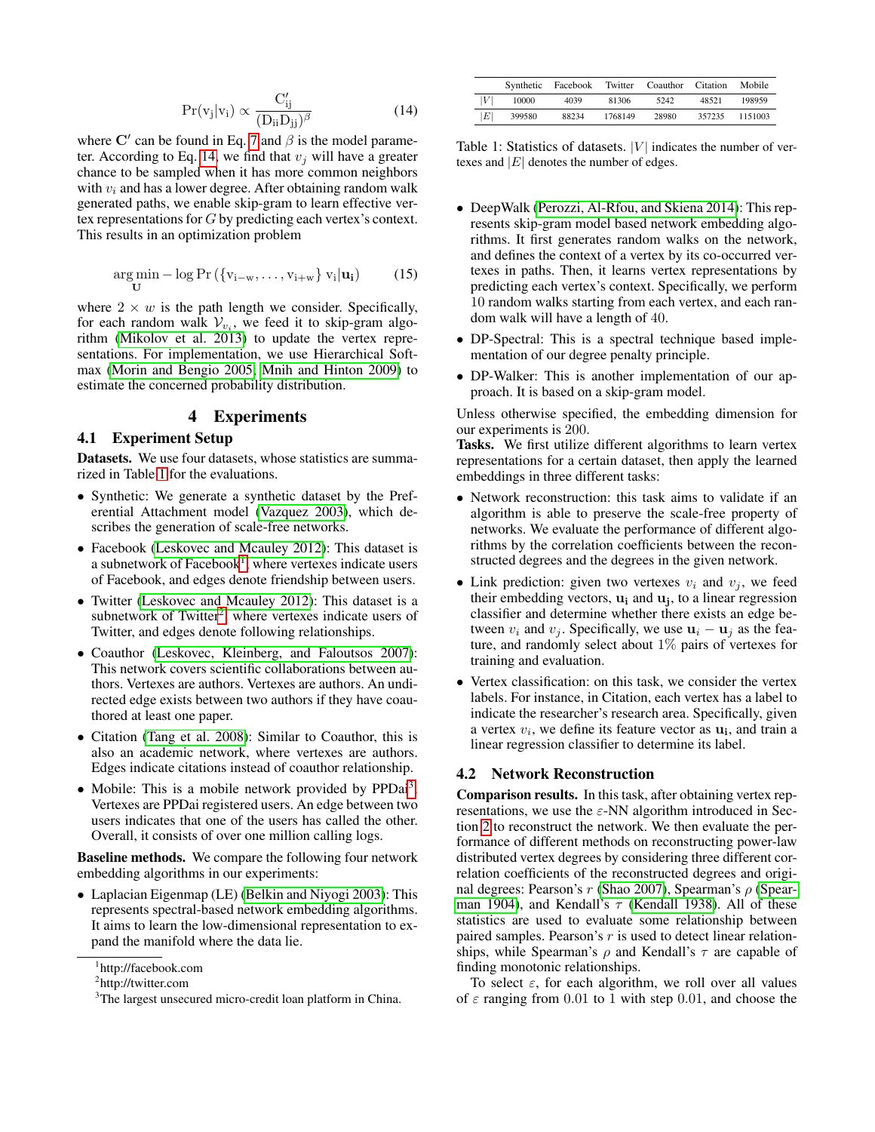<span id="page-4-1"></span>
$$
Pr(v_j|v_i) \propto \frac{C'_{ij}}{(D_{ii}D_{jj})^{\beta}}
$$
 (14)

where C' can be found in Eq. [7](#page-3-3) and  $\beta$  is the model parame-ter. According to Eq. [14,](#page-4-1) we find that  $v_j$  will have a greater chance to be sampled when it has more common neighbors with  $v_i$  and has a lower degree. After obtaining random walk generated paths, we enable skip-gram to learn effective vertex representations for G by predicting each vertex's context. This results in an optimization problem

$$
\underset{\mathbf{U}}{\arg\min} - \log \Pr \left( \{ v_{i-w}, \dots, v_{i+w} \} \ v_i | \mathbf{u_i} \right) \tag{15}
$$

where  $2 \times w$  is the path length we consider. Specifically, for each random walk  $V_{v_i}$ , we feed it to skip-gram algorithm [\(Mikolov et al. 2013\)](#page-7-0) to update the vertex representations. For implementation, we use Hierarchical Softmax [\(Morin and Bengio 2005;](#page-7-14) [Mnih and Hinton 2009\)](#page-7-15) to estimate the concerned probability distribution.

# 4 Experiments

### <span id="page-4-0"></span>4.1 Experiment Setup

Datasets. We use four datasets, whose statistics are summarized in Table [1](#page-4-2) for the evaluations.

- Synthetic: We generate a synthetic dataset by the Preferential Attachment model [\(Vazquez 2003\)](#page-8-1), which describes the generation of scale-free networks.
- Facebook [\(Leskovec and Mcauley 2012\)](#page-7-16): This dataset is a subnetwork of Facebook<sup>[1](#page-4-3)</sup>, where vertexes indicate users of Facebook, and edges denote friendship between users.
- Twitter [\(Leskovec and Mcauley 2012\)](#page-7-16): This dataset is a subnetwork of Twitter<sup>[2](#page-4-4)</sup>, where vertexes indicate users of Twitter, and edges denote following relationships.
- Coauthor [\(Leskovec, Kleinberg, and Faloutsos 2007\)](#page-7-17): This network covers scientific collaborations between authors. Vertexes are authors. Vertexes are authors. An undirected edge exists between two authors if they have coauthored at least one paper.
- Citation [\(Tang et al. 2008\)](#page-7-18): Similar to Coauthor, this is also an academic network, where vertexes are authors. Edges indicate citations instead of coauthor relationship.
- Mobile: This is a mobile network provided by PPDai<sup>[3](#page-4-5)</sup>. Vertexes are PPDai registered users. An edge between two users indicates that one of the users has called the other. Overall, it consists of over one million calling logs.

Baseline methods. We compare the following four network embedding algorithms in our experiments:

• Laplacian Eigenmap (LE) [\(Belkin and Niyogi 2003\)](#page-7-3): This represents spectral-based network embedding algorithms. It aims to learn the low-dimensional representation to expand the manifold where the data lie.

<span id="page-4-2"></span>

|   |        | Synthetic Facebook | Twitter | Coauthor | Citation | Mobile  |
|---|--------|--------------------|---------|----------|----------|---------|
| V | 10000  | 4039               | 81306   | 5242     | 48521    | 198959  |
| E | 399580 | 88234              | 1768149 | 28980    | 357235   | 1151003 |

Table 1: Statistics of datasets.  $|V|$  indicates the number of vertexes and  $|E|$  denotes the number of edges.

- DeepWalk [\(Perozzi, Al-Rfou, and Skiena 2014\)](#page-7-1): This represents skip-gram model based network embedding algorithms. It first generates random walks on the network, and defines the context of a vertex by its co-occurred vertexes in paths. Then, it learns vertex representations by predicting each vertex's context. Specifically, we perform 10 random walks starting from each vertex, and each random walk will have a length of 40.
- DP-Spectral: This is a spectral technique based implementation of our degree penalty principle.
- DP-Walker: This is another implementation of our approach. It is based on a skip-gram model.

Unless otherwise specified, the embedding dimension for our experiments is 200.

Tasks. We first utilize different algorithms to learn vertex representations for a certain dataset, then apply the learned embeddings in three different tasks:

- Network reconstruction: this task aims to validate if an algorithm is able to preserve the scale-free property of networks. We evaluate the performance of different algorithms by the correlation coefficients between the reconstructed degrees and the degrees in the given network.
- Link prediction: given two vertexes  $v_i$  and  $v_j$ , we feed their embedding vectors,  $\mathbf{u_i}$  and  $\mathbf{u_j}$ , to a linear regression classifier and determine whether there exists an edge between  $v_i$  and  $v_j$ . Specifically, we use  $u_i - u_j$  as the feature, and randomly select about 1% pairs of vertexes for training and evaluation.
- Vertex classification: on this task, we consider the vertex labels. For instance, in Citation, each vertex has a label to indicate the researcher's research area. Specifically, given a vertex  $v_i$ , we define its feature vector as  $u_i$ , and train a linear regression classifier to determine its label.

#### 4.2 Network Reconstruction

Comparison results. In this task, after obtaining vertex representations, we use the  $\varepsilon$ -NN algorithm introduced in Section [2](#page-1-0) to reconstruct the network. We then evaluate the performance of different methods on reconstructing power-law distributed vertex degrees by considering three different correlation coefficients of the reconstructed degrees and original degrees: Pearson's  $r$  [\(Shao 2007\)](#page-7-19), Spearman's  $\rho$  [\(Spear](#page-7-20)[man 1904\)](#page-7-20), and Kendall's  $\tau$  [\(Kendall 1938\)](#page-7-21). All of these statistics are used to evaluate some relationship between paired samples. Pearson's  $r$  is used to detect linear relationships, while Spearman's  $\rho$  and Kendall's  $\tau$  are capable of finding monotonic relationships.

To select  $\varepsilon$ , for each algorithm, we roll over all values of  $\varepsilon$  ranging from 0.01 to 1 with step 0.01, and choose the

<span id="page-4-3"></span><sup>1</sup> http://facebook.com

<span id="page-4-4"></span><sup>&</sup>lt;sup>2</sup>http://twitter.com

<span id="page-4-5"></span><sup>&</sup>lt;sup>3</sup>The largest unsecured micro-credit loan platform in China.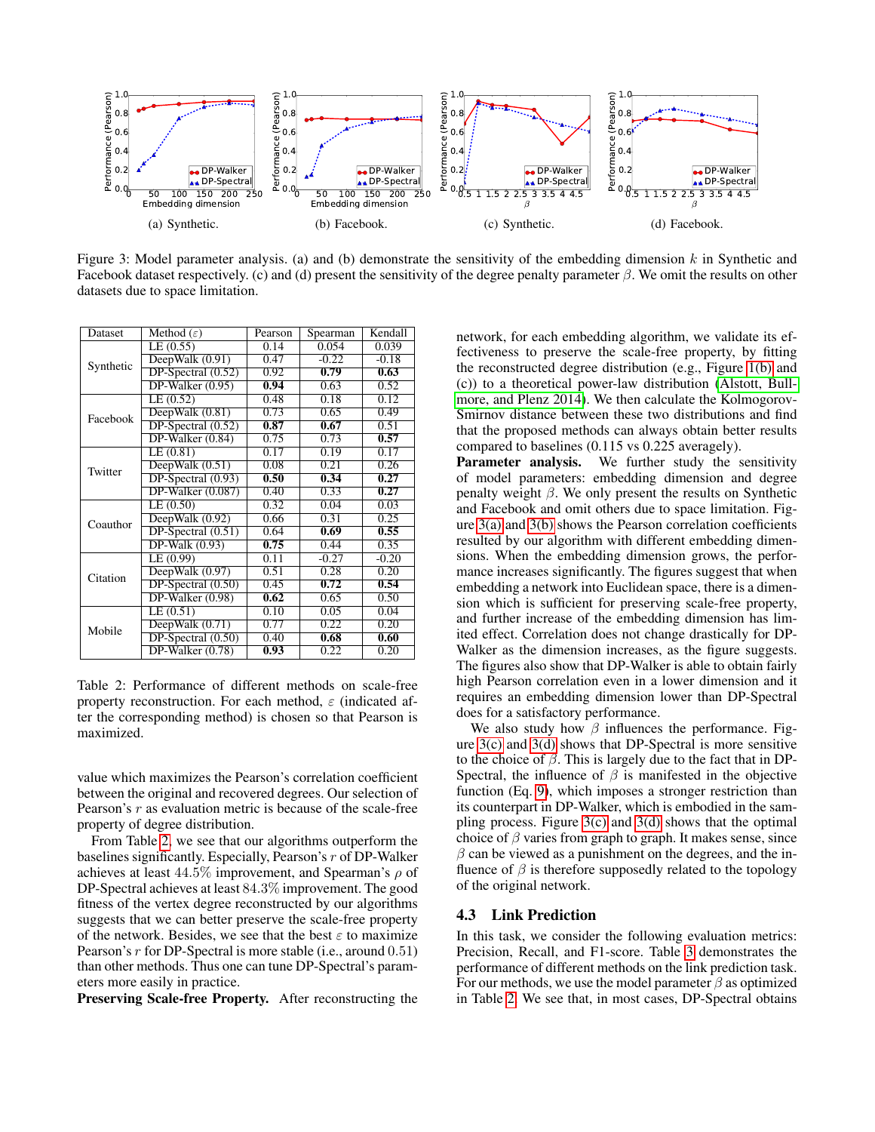<span id="page-5-1"></span>

<span id="page-5-2"></span>Figure 3: Model parameter analysis. (a) and (b) demonstrate the sensitivity of the embedding dimension k in Synthetic and Facebook dataset respectively. (c) and (d) present the sensitivity of the degree penalty parameter  $\beta$ . We omit the results on other datasets due to space limitation.

| Dataset   | Method $(\varepsilon)$ | Pearson | Spearman | Kendall |
|-----------|------------------------|---------|----------|---------|
|           | LE(0.55)               | 0.14    | 0.054    | 0.039   |
| Synthetic | DeepWalk $(0.91)$      | 0.47    | $-0.22$  | $-0.18$ |
|           | $DP-Spectral (0.52)$   | 0.92    | 0.79     | 0.63    |
|           | $DP-Walker (0.95)$     | 0.94    | 0.63     | 0.52    |
|           | LE(0.52)               | 0.48    | 0.18     | 0.12    |
| Facebook  | DeepWalk $(0.81)$      | 0.73    | 0.65     | 0.49    |
|           | $DP-Spectral (0.52)$   | 0.87    | 0.67     | 0.51    |
|           | $DP-Walker (0.84)$     | 0.75    | 0.73     | 0.57    |
|           | LE(0.81)               | 0.17    | 0.19     | 0.17    |
| Twitter   | DeepWalk $(0.51)$      | 0.08    | 0.21     | 0.26    |
|           | $DP-Spectral (0.93)$   | 0.50    | 0.34     | 0.27    |
|           | $DP-Walker(0.087)$     | 0.40    | 0.33     | 0.27    |
|           | LE(0.50)               | 0.32    | 0.04     | 0.03    |
| Coauthor  | DeepWalk $(0.92)$      | 0.66    | 0.31     | 0.25    |
|           | $DP-Spectral (0.51)$   | 0.64    | 0.69     | 0.55    |
|           | $DP-Walk(0.93)$        | 0.75    | 0.44     | 0.35    |
|           | LE (0.99)              | 0.11    | $-0.27$  | $-0.20$ |
| Citation  | DeepWalk (0.97)        | 0.51    | 0.28     | 0.20    |
|           | $DP-Spectral (0.50)$   | 0.45    | 0.72     | 0.54    |
|           | DP-Walker (0.98)       | 0.62    | 0.65     | 0.50    |
|           | LE(0.51)               | 0.10    | 0.05     | 0.04    |
| Mobile    | DeepWalk $(0.71)$      | 0.77    | 0.22     | 0.20    |
|           | $DP-Spectral (0.50)$   | 0.40    | 0.68     | 0.60    |
|           | DP-Walker (0.78)       | 0.93    | 0.22     | 0.20    |

<span id="page-5-0"></span>Table 2: Performance of different methods on scale-free property reconstruction. For each method,  $\varepsilon$  (indicated after the corresponding method) is chosen so that Pearson is maximized.

value which maximizes the Pearson's correlation coefficient between the original and recovered degrees. Our selection of Pearson's  $r$  as evaluation metric is because of the scale-free property of degree distribution.

From Table [2,](#page-5-0) we see that our algorithms outperform the baselines significantly. Especially, Pearson's r of DP-Walker achieves at least  $44.5\%$  improvement, and Spearman's  $\rho$  of DP-Spectral achieves at least 84.3% improvement. The good fitness of the vertex degree reconstructed by our algorithms suggests that we can better preserve the scale-free property of the network. Besides, we see that the best  $\varepsilon$  to maximize Pearson's  $r$  for DP-Spectral is more stable (i.e., around  $(0.51)$ ) than other methods. Thus one can tune DP-Spectral's parameters more easily in practice.

Preserving Scale-free Property. After reconstructing the

<span id="page-5-4"></span><span id="page-5-3"></span>network, for each embedding algorithm, we validate its effectiveness to preserve the scale-free property, by fitting the reconstructed degree distribution (e.g., Figure [1\(b\)](#page-0-1) and (c)) to a theoretical power-law distribution [\(Alstott, Bull](#page-7-22)[more, and Plenz 2014\)](#page-7-22). We then calculate the Kolmogorov-Smirnov distance between these two distributions and find that the proposed methods can always obtain better results compared to baselines (0.115 vs 0.225 averagely).

Parameter analysis. We further study the sensitivity of model parameters: embedding dimension and degree penalty weight  $β$ . We only present the results on Synthetic and Facebook and omit others due to space limitation. Figure [3\(a\)](#page-5-1) and [3\(b\)](#page-5-2) shows the Pearson correlation coefficients resulted by our algorithm with different embedding dimensions. When the embedding dimension grows, the performance increases significantly. The figures suggest that when embedding a network into Euclidean space, there is a dimension which is sufficient for preserving scale-free property, and further increase of the embedding dimension has limited effect. Correlation does not change drastically for DP-Walker as the dimension increases, as the figure suggests. The figures also show that DP-Walker is able to obtain fairly high Pearson correlation even in a lower dimension and it requires an embedding dimension lower than DP-Spectral does for a satisfactory performance.

We also study how  $\beta$  influences the performance. Figure  $3(c)$  and  $3(d)$  shows that DP-Spectral is more sensitive to the choice of  $\beta$ . This is largely due to the fact that in DP-Spectral, the influence of  $\beta$  is manifested in the objective function (Eq. [9\)](#page-3-2), which imposes a stronger restriction than its counterpart in DP-Walker, which is embodied in the sampling process. Figure  $3(c)$  and  $3(d)$  shows that the optimal choice of  $\beta$  varies from graph to graph. It makes sense, since  $\beta$  can be viewed as a punishment on the degrees, and the influence of  $\beta$  is therefore supposedly related to the topology of the original network.

#### 4.3 Link Prediction

In this task, we consider the following evaluation metrics: Precision, Recall, and F1-score. Table [3](#page-6-0) demonstrates the performance of different methods on the link prediction task. For our methods, we use the model parameter  $\beta$  as optimized in Table [2.](#page-5-0) We see that, in most cases, DP-Spectral obtains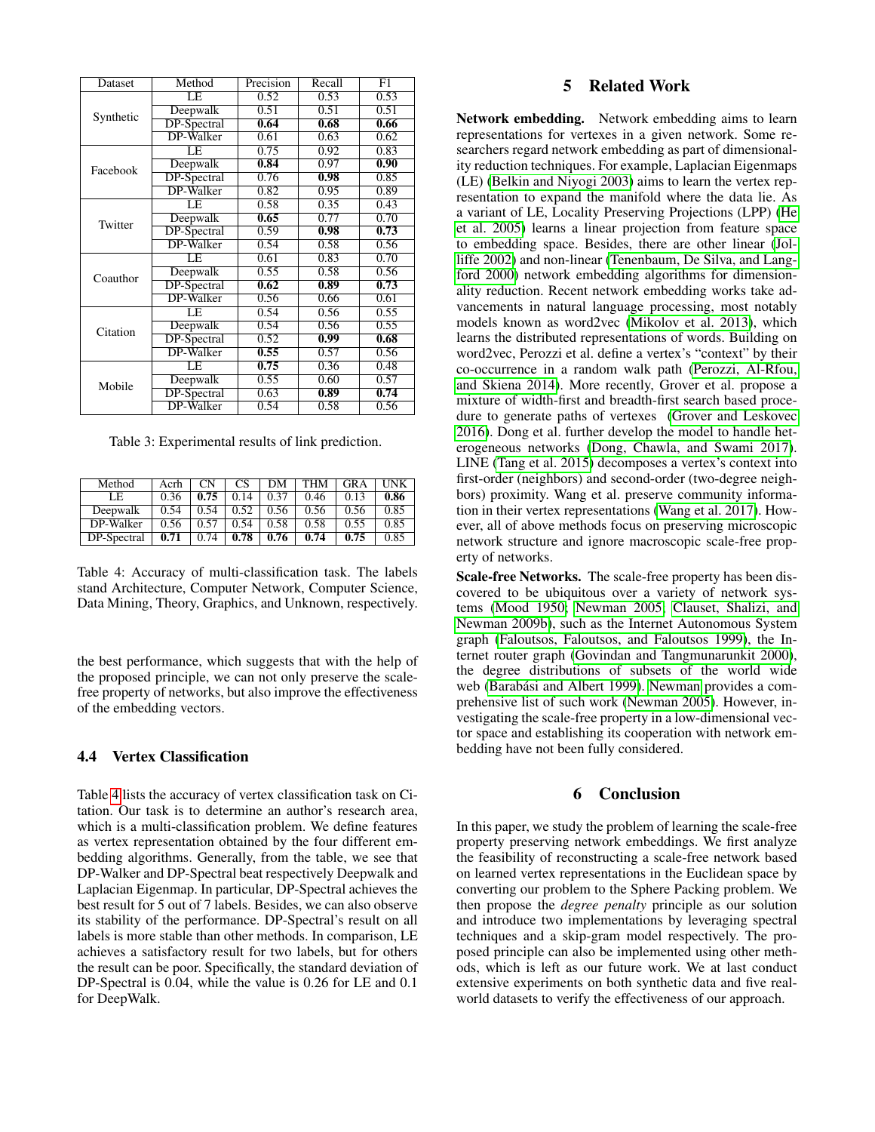| Dataset   | Method             | Precision | Recall            | F1                |  |
|-----------|--------------------|-----------|-------------------|-------------------|--|
|           | LΕ                 | 0.52      | 0.53              | 0.53              |  |
|           | Deepwalk           | 0.51      | 0.51              | 0.51              |  |
| Synthetic | <b>DP-Spectral</b> | 0.64      | 0.68              | 0.66              |  |
|           | <b>DP-Walker</b>   | 0.61      | 0.63              | 0.62              |  |
|           | LE                 | 0.75      | 0.92              | 0.83              |  |
| Facebook  | Deepwalk           | 0.84      | 0.97              | $\overline{0.90}$ |  |
|           | DP-Spectral        | 0.76      | 0.98              | 0.85              |  |
|           | DP-Walker          | 0.82      | 0.95              | 0.89              |  |
|           | LE                 | 0.58      | 0.35              | 0.43              |  |
| Twitter   | Deepwalk           | 0.65      | 0.77              | 0.70              |  |
|           | DP-Spectral        | 0.59      | 0.98              | 0.73              |  |
|           | <b>DP-Walker</b>   | 0.54      | 0.58              | 0.56              |  |
|           | LE                 | 0.61      | 0.83              | 0.70              |  |
| Coauthor  | Deepwalk           | 0.55      | 0.58              | 0.56              |  |
|           | DP-Spectral        | 0.62      | $\overline{0.89}$ | 0.73              |  |
|           | DP-Walker          | 0.56      | 0.66              | 0.61              |  |
|           | LE                 | 0.54      | 0.56              | 0.55              |  |
| Citation  | Deepwalk           | 0.54      | 0.56              | 0.55              |  |
|           | <b>DP-Spectral</b> | 0.52      | 0.99              | 0.68              |  |
|           | <b>DP-Walker</b>   | 0.55      | 0.57              | 0.56              |  |
|           | LE                 | 0.75      | 0.36              | 0.48              |  |
| Mobile    | Deepwalk           | 0.55      | 0.60              | 0.57              |  |
|           | <b>DP-Spectral</b> | 0.63      | 0.89              | 0.74              |  |
|           | DP-Walker          | 0.54      | 0.58              | 0.56              |  |

<span id="page-6-0"></span>Table 3: Experimental results of link prediction.

| Method      | Acrh | $\mathbf{CN}$ | CS   | DМ   | THM  | <b>GRA</b> | <b>INK</b> |
|-------------|------|---------------|------|------|------|------------|------------|
| LE          | 0.36 | 0.75          | 0.14 | 0.37 | 0.46 | 0.13       | 0.86       |
| Deepwalk    | 0.54 | 0.54          | 0.52 | 0.56 | 0.56 | 0.56       | 0.85       |
| DP-Walker   | 0.56 | 0.57          | 0.54 | 0.58 | 0.58 | 0.55       | 0.85       |
| DP-Spectral | 0.71 | 0.74          | 0.78 | 0.76 | 0.74 | 0.75       | 0.85       |

<span id="page-6-1"></span>Table 4: Accuracy of multi-classification task. The labels stand Architecture, Computer Network, Computer Science, Data Mining, Theory, Graphics, and Unknown, respectively.

the best performance, which suggests that with the help of the proposed principle, we can not only preserve the scalefree property of networks, but also improve the effectiveness of the embedding vectors.

### 4.4 Vertex Classification

Table [4](#page-6-1) lists the accuracy of vertex classification task on Citation. Our task is to determine an author's research area, which is a multi-classification problem. We define features as vertex representation obtained by the four different embedding algorithms. Generally, from the table, we see that DP-Walker and DP-Spectral beat respectively Deepwalk and Laplacian Eigenmap. In particular, DP-Spectral achieves the best result for 5 out of 7 labels. Besides, we can also observe its stability of the performance. DP-Spectral's result on all labels is more stable than other methods. In comparison, LE achieves a satisfactory result for two labels, but for others the result can be poor. Specifically, the standard deviation of DP-Spectral is 0.04, while the value is 0.26 for LE and 0.1 for DeepWalk.

# 5 Related Work

Network embedding. Network embedding aims to learn representations for vertexes in a given network. Some researchers regard network embedding as part of dimensionality reduction techniques. For example, Laplacian Eigenmaps (LE) [\(Belkin and Niyogi 2003\)](#page-7-3) aims to learn the vertex representation to expand the manifold where the data lie. As a variant of LE, Locality Preserving Projections (LPP) [\(He](#page-7-23) [et al. 2005\)](#page-7-23) learns a linear projection from feature space to embedding space. Besides, there are other linear [\(Jol](#page-7-24)[liffe 2002\)](#page-7-24) and non-linear [\(Tenenbaum, De Silva, and Lang](#page-7-25)[ford 2000\)](#page-7-25) network embedding algorithms for dimensionality reduction. Recent network embedding works take advancements in natural language processing, most notably models known as word2vec [\(Mikolov et al. 2013\)](#page-7-0), which learns the distributed representations of words. Building on word2vec, Perozzi et al. define a vertex's "context" by their co-occurrence in a random walk path [\(Perozzi, Al-Rfou,](#page-7-1) [and Skiena 2014\)](#page-7-1). More recently, Grover et al. propose a mixture of width-first and breadth-first search based procedure to generate paths of vertexes [\(Grover and Leskovec](#page-7-2) [2016\)](#page-7-2). Dong et al. further develop the model to handle heterogeneous networks [\(Dong, Chawla, and Swami 2017\)](#page-7-26). LINE [\(Tang et al. 2015\)](#page-7-13) decomposes a vertex's context into first-order (neighbors) and second-order (two-degree neighbors) proximity. Wang et al. preserve community information in their vertex representations [\(Wang et al. 2017\)](#page-8-2). However, all of above methods focus on preserving microscopic network structure and ignore macroscopic scale-free property of networks.

Scale-free Networks. The scale-free property has been discovered to be ubiquitous over a variety of network systems [\(Mood 1950;](#page-7-27) [Newman 2005;](#page-7-28) [Clauset, Shalizi, and](#page-7-29) [Newman 2009b\)](#page-7-29), such as the Internet Autonomous System graph [\(Faloutsos, Faloutsos, and Faloutsos 1999\)](#page-7-4), the Internet router graph [\(Govindan and Tangmunarunkit 2000\)](#page-7-30), the degree distributions of subsets of the world wide web (Barabási and Albert 1999). [Newman](#page-7-28) provides a comprehensive list of such work [\(Newman 2005\)](#page-7-28). However, investigating the scale-free property in a low-dimensional vector space and establishing its cooperation with network embedding have not been fully considered.

# 6 Conclusion

In this paper, we study the problem of learning the scale-free property preserving network embeddings. We first analyze the feasibility of reconstructing a scale-free network based on learned vertex representations in the Euclidean space by converting our problem to the Sphere Packing problem. We then propose the *degree penalty* principle as our solution and introduce two implementations by leveraging spectral techniques and a skip-gram model respectively. The proposed principle can also be implemented using other methods, which is left as our future work. We at last conduct extensive experiments on both synthetic data and five realworld datasets to verify the effectiveness of our approach.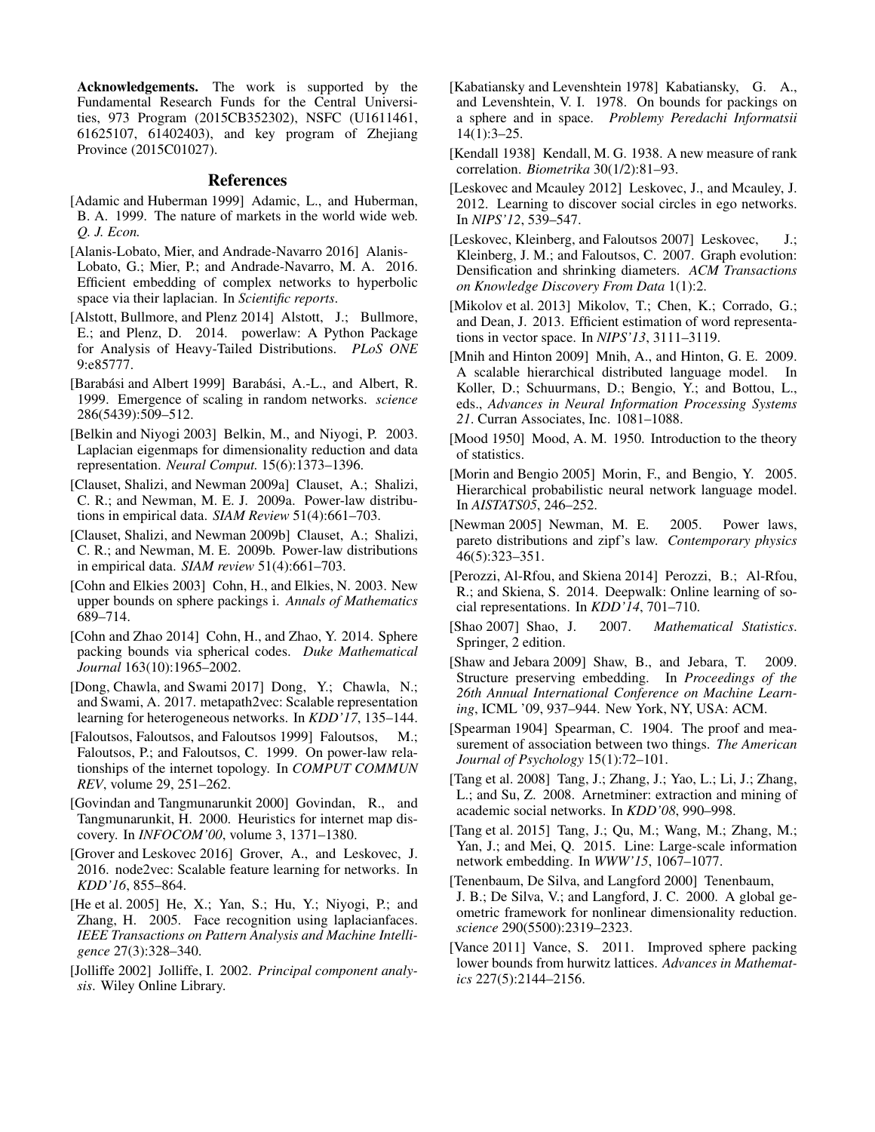Acknowledgements. The work is supported by the Fundamental Research Funds for the Central Universities, 973 Program (2015CB352302), NSFC (U1611461, 61625107, 61402403), and key program of Zhejiang Province (2015C01027).

#### References

- <span id="page-7-5"></span>[Adamic and Huberman 1999] Adamic, L., and Huberman, B. A. 1999. The nature of markets in the world wide web. *Q. J. Econ.*
- <span id="page-7-7"></span>[Alanis-Lobato, Mier, and Andrade-Navarro 2016] Alanis-Lobato, G.; Mier, P.; and Andrade-Navarro, M. A. 2016. Efficient embedding of complex networks to hyperbolic space via their laplacian. In *Scientific reports*.
- <span id="page-7-22"></span>[Alstott, Bullmore, and Plenz 2014] Alstott, J.; Bullmore, E.; and Plenz, D. 2014. powerlaw: A Python Package for Analysis of Heavy-Tailed Distributions. *PLoS ONE* 9:e85777.
- <span id="page-7-31"></span>[Barabási and Albert 1999] Barabási, A.-L., and Albert, R. 1999. Emergence of scaling in random networks. *science* 286(5439):509–512.
- <span id="page-7-3"></span>[Belkin and Niyogi 2003] Belkin, M., and Niyogi, P. 2003. Laplacian eigenmaps for dimensionality reduction and data representation. *Neural Comput.* 15(6):1373–1396.
- <span id="page-7-8"></span>[Clauset, Shalizi, and Newman 2009a] Clauset, A.; Shalizi, C. R.; and Newman, M. E. J. 2009a. Power-law distributions in empirical data. *SIAM Review* 51(4):661–703.
- <span id="page-7-29"></span>[Clauset, Shalizi, and Newman 2009b] Clauset, A.; Shalizi, C. R.; and Newman, M. E. 2009b. Power-law distributions in empirical data. *SIAM review* 51(4):661–703.
- <span id="page-7-9"></span>[Cohn and Elkies 2003] Cohn, H., and Elkies, N. 2003. New upper bounds on sphere packings i. *Annals of Mathematics* 689–714.
- <span id="page-7-11"></span>[Cohn and Zhao 2014] Cohn, H., and Zhao, Y. 2014. Sphere packing bounds via spherical codes. *Duke Mathematical Journal* 163(10):1965–2002.
- <span id="page-7-26"></span>[Dong, Chawla, and Swami 2017] Dong, Y.; Chawla, N.; and Swami, A. 2017. metapath2vec: Scalable representation learning for heterogeneous networks. In *KDD'17*, 135–144.
- <span id="page-7-4"></span>[Faloutsos, Faloutsos, and Faloutsos 1999] Faloutsos, M.; Faloutsos, P.; and Faloutsos, C. 1999. On power-law relationships of the internet topology. In *COMPUT COMMUN REV*, volume 29, 251–262.
- <span id="page-7-30"></span>[Govindan and Tangmunarunkit 2000] Govindan, R., and Tangmunarunkit, H. 2000. Heuristics for internet map discovery. In *INFOCOM'00*, volume 3, 1371–1380.
- <span id="page-7-2"></span>[Grover and Leskovec 2016] Grover, A., and Leskovec, J. 2016. node2vec: Scalable feature learning for networks. In *KDD'16*, 855–864.
- <span id="page-7-23"></span>[He et al. 2005] He, X.; Yan, S.; Hu, Y.; Niyogi, P.; and Zhang, H. 2005. Face recognition using laplacianfaces. *IEEE Transactions on Pattern Analysis and Machine Intelligence* 27(3):328–340.
- <span id="page-7-24"></span>[Jolliffe 2002] Jolliffe, I. 2002. *Principal component analysis*. Wiley Online Library.
- <span id="page-7-12"></span>[Kabatiansky and Levenshtein 1978] Kabatiansky, G. A., and Levenshtein, V. I. 1978. On bounds for packings on a sphere and in space. *Problemy Peredachi Informatsii* 14(1):3–25.
- <span id="page-7-21"></span>[Kendall 1938] Kendall, M. G. 1938. A new measure of rank correlation. *Biometrika* 30(1/2):81–93.
- <span id="page-7-16"></span>[Leskovec and Mcauley 2012] Leskovec, J., and Mcauley, J. 2012. Learning to discover social circles in ego networks. In *NIPS'12*, 539–547.
- <span id="page-7-17"></span>[Leskovec, Kleinberg, and Faloutsos 2007] Leskovec, J.; Kleinberg, J. M.; and Faloutsos, C. 2007. Graph evolution: Densification and shrinking diameters. *ACM Transactions on Knowledge Discovery From Data* 1(1):2.
- <span id="page-7-0"></span>[Mikolov et al. 2013] Mikolov, T.; Chen, K.; Corrado, G.; and Dean, J. 2013. Efficient estimation of word representations in vector space. In *NIPS'13*, 3111–3119.
- <span id="page-7-15"></span>[Mnih and Hinton 2009] Mnih, A., and Hinton, G. E. 2009. A scalable hierarchical distributed language model. In Koller, D.; Schuurmans, D.; Bengio, Y.; and Bottou, L., eds., *Advances in Neural Information Processing Systems 21*. Curran Associates, Inc. 1081–1088.
- <span id="page-7-27"></span>[Mood 1950] Mood, A. M. 1950. Introduction to the theory of statistics.
- <span id="page-7-14"></span>[Morin and Bengio 2005] Morin, F., and Bengio, Y. 2005. Hierarchical probabilistic neural network language model. In *AISTATS05*, 246–252.
- <span id="page-7-28"></span>[Newman 2005] Newman, M. E. 2005. Power laws, pareto distributions and zipf's law. *Contemporary physics* 46(5):323–351.
- <span id="page-7-1"></span>[Perozzi, Al-Rfou, and Skiena 2014] Perozzi, B.; Al-Rfou, R.; and Skiena, S. 2014. Deepwalk: Online learning of social representations. In *KDD'14*, 701–710.
- <span id="page-7-19"></span>[Shao 2007] Shao, J. 2007. *Mathematical Statistics*. Springer, 2 edition.
- <span id="page-7-6"></span>[Shaw and Jebara 2009] Shaw, B., and Jebara, T. 2009. Structure preserving embedding. In *Proceedings of the 26th Annual International Conference on Machine Learning*, ICML '09, 937–944. New York, NY, USA: ACM.
- <span id="page-7-20"></span>[Spearman 1904] Spearman, C. 1904. The proof and measurement of association between two things. *The American Journal of Psychology* 15(1):72–101.
- <span id="page-7-18"></span>[Tang et al. 2008] Tang, J.; Zhang, J.; Yao, L.; Li, J.; Zhang, L.; and Su, Z. 2008. Arnetminer: extraction and mining of academic social networks. In *KDD'08*, 990–998.
- <span id="page-7-13"></span>[Tang et al. 2015] Tang, J.; Qu, M.; Wang, M.; Zhang, M.; Yan, J.; and Mei, Q. 2015. Line: Large-scale information network embedding. In *WWW'15*, 1067–1077.
- <span id="page-7-25"></span>[Tenenbaum, De Silva, and Langford 2000] Tenenbaum, J. B.; De Silva, V.; and Langford, J. C. 2000. A global geometric framework for nonlinear dimensionality reduction. *science* 290(5500):2319–2323.
- <span id="page-7-10"></span>[Vance 2011] Vance, S. 2011. Improved sphere packing lower bounds from hurwitz lattices. *Advances in Mathematics* 227(5):2144–2156.